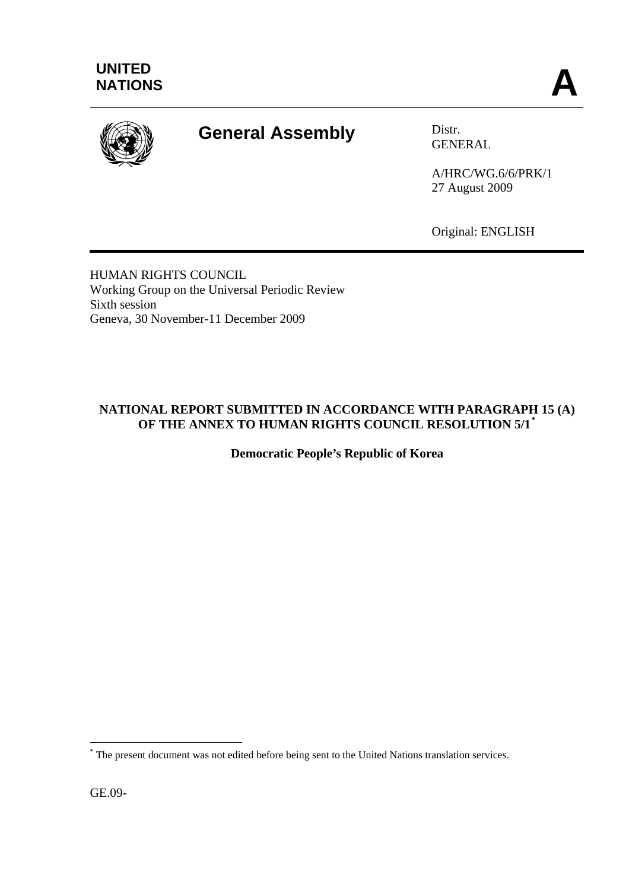

# **General Assembly** Distr.

GENERAL

A/HRC/WG.6/6/PRK/1 27 August 2009

Original: ENGLISH

HUMAN RIGHTS COUNCIL Working Group on the Universal Periodic Review Sixth session Geneva, 30 November-11 December 2009

# **NATIONAL REPORT SUBMITTED IN ACCORDANCE WITH PARAGRAPH 15 (A) OF THE ANNEX TO HUMAN RIGHTS COUNCIL RESOLUTION 5/1[\\*](#page-0-0)**

**Democratic People's Republic of Korea** 

GE.09-

<span id="page-0-0"></span> $\overline{a}$ \* The present document was not edited before being sent to the United Nations translation services.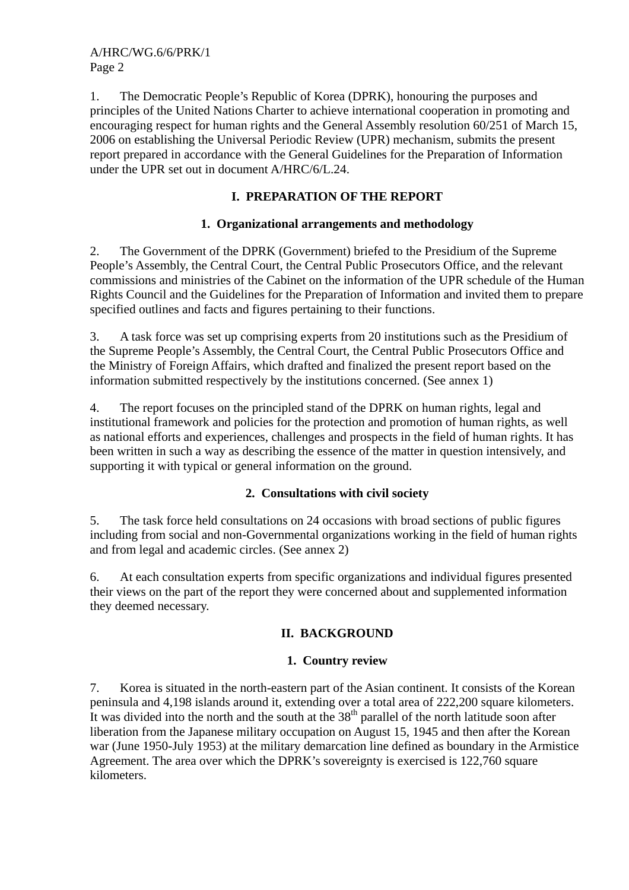1. The Democratic People's Republic of Korea (DPRK), honouring the purposes and principles of the United Nations Charter to achieve international cooperation in promoting and encouraging respect for human rights and the General Assembly resolution 60/251 of March 15, 2006 on establishing the Universal Periodic Review (UPR) mechanism, submits the present report prepared in accordance with the General Guidelines for the Preparation of Information under the UPR set out in document A/HRC/6/L.24.

# **I. PREPARATION OF THE REPORT**

## **1. Organizational arrangements and methodology**

2. The Government of the DPRK (Government) briefed to the Presidium of the Supreme People's Assembly, the Central Court, the Central Public Prosecutors Office, and the relevant commissions and ministries of the Cabinet on the information of the UPR schedule of the Human Rights Council and the Guidelines for the Preparation of Information and invited them to prepare specified outlines and facts and figures pertaining to their functions.

3. A task force was set up comprising experts from 20 institutions such as the Presidium of the Supreme People's Assembly, the Central Court, the Central Public Prosecutors Office and the Ministry of Foreign Affairs, which drafted and finalized the present report based on the information submitted respectively by the institutions concerned. (See annex 1)

4. The report focuses on the principled stand of the DPRK on human rights, legal and institutional framework and policies for the protection and promotion of human rights, as well as national efforts and experiences, challenges and prospects in the field of human rights. It has been written in such a way as describing the essence of the matter in question intensively, and supporting it with typical or general information on the ground.

## **2. Consultations with civil society**

5. The task force held consultations on 24 occasions with broad sections of public figures including from social and non-Governmental organizations working in the field of human rights and from legal and academic circles. (See annex 2)

6. At each consultation experts from specific organizations and individual figures presented their views on the part of the report they were concerned about and supplemented information they deemed necessary.

# **II. BACKGROUND**

## **1. Country review**

7. Korea is situated in the north-eastern part of the Asian continent. It consists of the Korean peninsula and 4,198 islands around it, extending over a total area of 222,200 square kilometers. It was divided into the north and the south at the  $38<sup>th</sup>$  parallel of the north latitude soon after liberation from the Japanese military occupation on August 15, 1945 and then after the Korean war (June 1950-July 1953) at the military demarcation line defined as boundary in the Armistice Agreement. The area over which the DPRK's sovereignty is exercised is 122,760 square kilometers.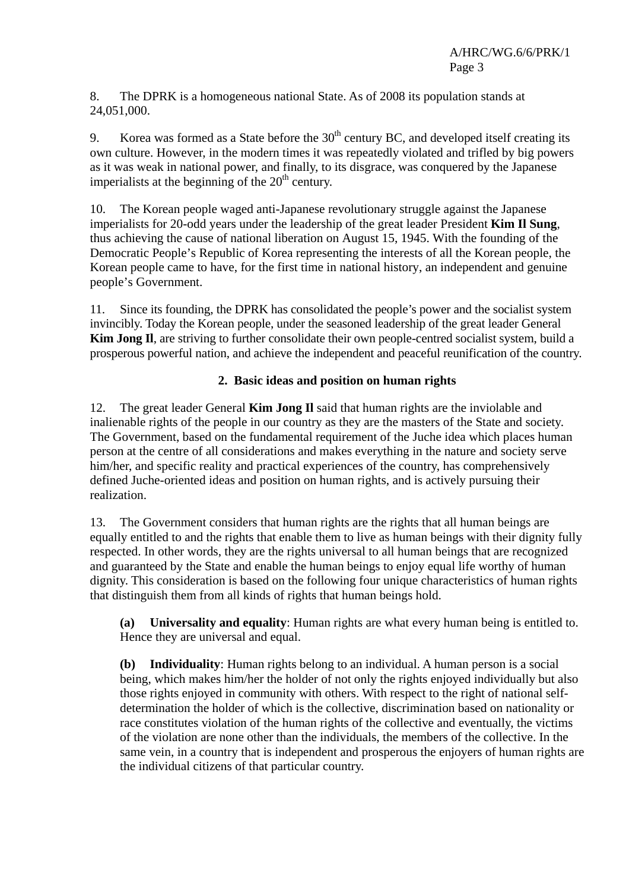8. The DPRK is a homogeneous national State. As of 2008 its population stands at 24,051,000.

9. Korea was formed as a State before the  $30<sup>th</sup>$  century BC, and developed itself creating its own culture. However, in the modern times it was repeatedly violated and trifled by big powers as it was weak in national power, and finally, to its disgrace, was conquered by the Japanese imperialists at the beginning of the  $20<sup>th</sup>$  century.

10. The Korean people waged anti-Japanese revolutionary struggle against the Japanese imperialists for 20-odd years under the leadership of the great leader President **Kim Il Sung**, thus achieving the cause of national liberation on August 15, 1945. With the founding of the Democratic People's Republic of Korea representing the interests of all the Korean people, the Korean people came to have, for the first time in national history, an independent and genuine people's Government.

11. Since its founding, the DPRK has consolidated the people's power and the socialist system invincibly. Today the Korean people, under the seasoned leadership of the great leader General **Kim Jong Il**, are striving to further consolidate their own people-centred socialist system, build a prosperous powerful nation, and achieve the independent and peaceful reunification of the country.

# **2. Basic ideas and position on human rights**

12. The great leader General **Kim Jong Il** said that human rights are the inviolable and inalienable rights of the people in our country as they are the masters of the State and society. The Government, based on the fundamental requirement of the Juche idea which places human person at the centre of all considerations and makes everything in the nature and society serve him/her, and specific reality and practical experiences of the country, has comprehensively defined Juche-oriented ideas and position on human rights, and is actively pursuing their realization.

13. The Government considers that human rights are the rights that all human beings are equally entitled to and the rights that enable them to live as human beings with their dignity fully respected. In other words, they are the rights universal to all human beings that are recognized and guaranteed by the State and enable the human beings to enjoy equal life worthy of human dignity. This consideration is based on the following four unique characteristics of human rights that distinguish them from all kinds of rights that human beings hold.

**(a) Universality and equality**: Human rights are what every human being is entitled to. Hence they are universal and equal.

**(b) Individuality**: Human rights belong to an individual. A human person is a social being, which makes him/her the holder of not only the rights enjoyed individually but also those rights enjoyed in community with others. With respect to the right of national selfdetermination the holder of which is the collective, discrimination based on nationality or race constitutes violation of the human rights of the collective and eventually, the victims of the violation are none other than the individuals, the members of the collective. In the same vein, in a country that is independent and prosperous the enjoyers of human rights are the individual citizens of that particular country.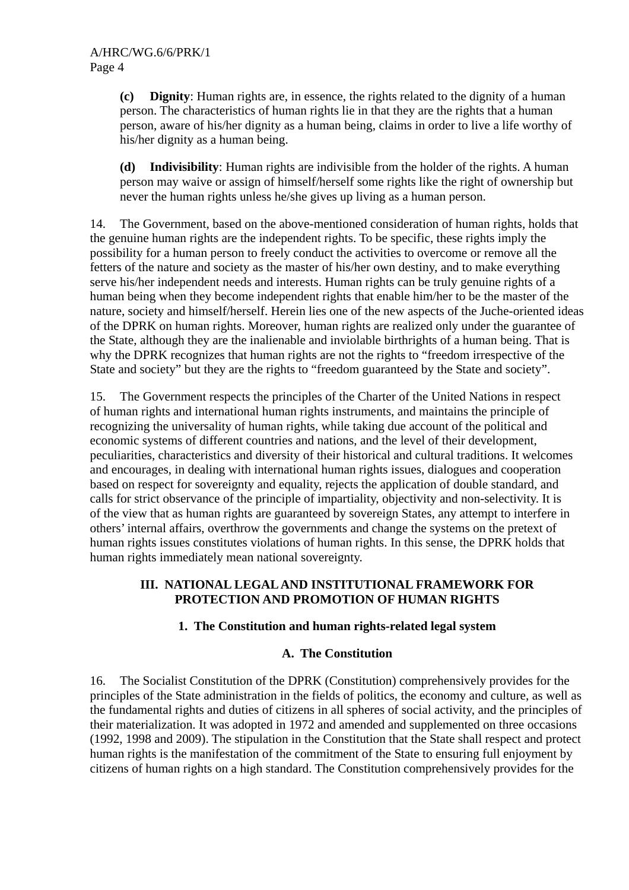**(c) Dignity**: Human rights are, in essence, the rights related to the dignity of a human person. The characteristics of human rights lie in that they are the rights that a human person, aware of his/her dignity as a human being, claims in order to live a life worthy of his/her dignity as a human being.

**(d) Indivisibility**: Human rights are indivisible from the holder of the rights. A human person may waive or assign of himself/herself some rights like the right of ownership but never the human rights unless he/she gives up living as a human person.

14. The Government, based on the above-mentioned consideration of human rights, holds that the genuine human rights are the independent rights. To be specific, these rights imply the possibility for a human person to freely conduct the activities to overcome or remove all the fetters of the nature and society as the master of his/her own destiny, and to make everything serve his/her independent needs and interests. Human rights can be truly genuine rights of a human being when they become independent rights that enable him/her to be the master of the nature, society and himself/herself. Herein lies one of the new aspects of the Juche-oriented ideas of the DPRK on human rights. Moreover, human rights are realized only under the guarantee of the State, although they are the inalienable and inviolable birthrights of a human being. That is why the DPRK recognizes that human rights are not the rights to "freedom irrespective of the State and society" but they are the rights to "freedom guaranteed by the State and society".

15. The Government respects the principles of the Charter of the United Nations in respect of human rights and international human rights instruments, and maintains the principle of recognizing the universality of human rights, while taking due account of the political and economic systems of different countries and nations, and the level of their development, peculiarities, characteristics and diversity of their historical and cultural traditions. It welcomes and encourages, in dealing with international human rights issues, dialogues and cooperation based on respect for sovereignty and equality, rejects the application of double standard, and calls for strict observance of the principle of impartiality, objectivity and non-selectivity. It is of the view that as human rights are guaranteed by sovereign States, any attempt to interfere in others' internal affairs, overthrow the governments and change the systems on the pretext of human rights issues constitutes violations of human rights. In this sense, the DPRK holds that human rights immediately mean national sovereignty.

### **III. NATIONAL LEGAL AND INSTITUTIONAL FRAMEWORK FOR PROTECTION AND PROMOTION OF HUMAN RIGHTS**

## **1. The Constitution and human rights-related legal system**

### **A. The Constitution**

16. The Socialist Constitution of the DPRK (Constitution) comprehensively provides for the principles of the State administration in the fields of politics, the economy and culture, as well as the fundamental rights and duties of citizens in all spheres of social activity, and the principles of their materialization. It was adopted in 1972 and amended and supplemented on three occasions (1992, 1998 and 2009). The stipulation in the Constitution that the State shall respect and protect human rights is the manifestation of the commitment of the State to ensuring full enjoyment by citizens of human rights on a high standard. The Constitution comprehensively provides for the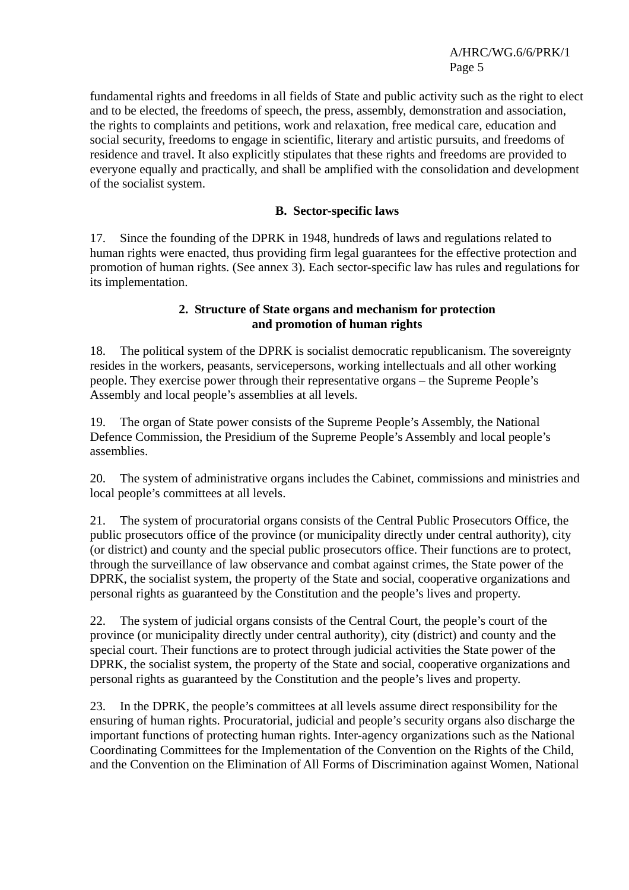fundamental rights and freedoms in all fields of State and public activity such as the right to elect and to be elected, the freedoms of speech, the press, assembly, demonstration and association, the rights to complaints and petitions, work and relaxation, free medical care, education and social security, freedoms to engage in scientific, literary and artistic pursuits, and freedoms of residence and travel. It also explicitly stipulates that these rights and freedoms are provided to everyone equally and practically, and shall be amplified with the consolidation and development of the socialist system.

### **B. Sector-specific laws**

17. Since the founding of the DPRK in 1948, hundreds of laws and regulations related to human rights were enacted, thus providing firm legal guarantees for the effective protection and promotion of human rights. (See annex 3). Each sector-specific law has rules and regulations for its implementation.

#### **2. Structure of State organs and mechanism for protection and promotion of human rights**

18. The political system of the DPRK is socialist democratic republicanism. The sovereignty resides in the workers, peasants, servicepersons, working intellectuals and all other working people. They exercise power through their representative organs – the Supreme People's Assembly and local people's assemblies at all levels.

19. The organ of State power consists of the Supreme People's Assembly, the National Defence Commission, the Presidium of the Supreme People's Assembly and local people's assemblies.

20. The system of administrative organs includes the Cabinet, commissions and ministries and local people's committees at all levels.

21. The system of procuratorial organs consists of the Central Public Prosecutors Office, the public prosecutors office of the province (or municipality directly under central authority), city (or district) and county and the special public prosecutors office. Their functions are to protect, through the surveillance of law observance and combat against crimes, the State power of the DPRK, the socialist system, the property of the State and social, cooperative organizations and personal rights as guaranteed by the Constitution and the people's lives and property.

22. The system of judicial organs consists of the Central Court, the people's court of the province (or municipality directly under central authority), city (district) and county and the special court. Their functions are to protect through judicial activities the State power of the DPRK, the socialist system, the property of the State and social, cooperative organizations and personal rights as guaranteed by the Constitution and the people's lives and property.

23. In the DPRK, the people's committees at all levels assume direct responsibility for the ensuring of human rights. Procuratorial, judicial and people's security organs also discharge the important functions of protecting human rights. Inter-agency organizations such as the National Coordinating Committees for the Implementation of the Convention on the Rights of the Child, and the Convention on the Elimination of All Forms of Discrimination against Women, National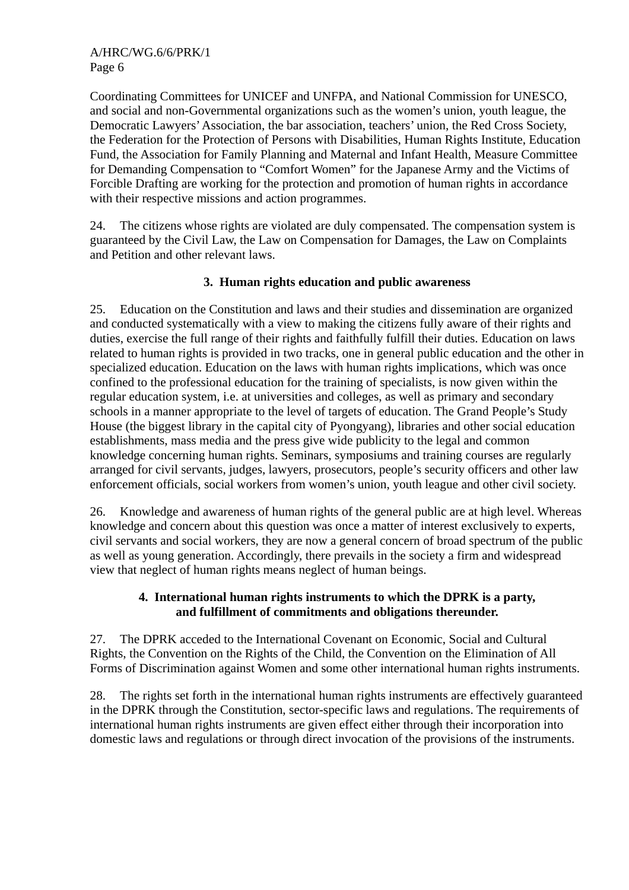Coordinating Committees for UNICEF and UNFPA, and National Commission for UNESCO, and social and non-Governmental organizations such as the women's union, youth league, the Democratic Lawyers' Association, the bar association, teachers' union, the Red Cross Society, the Federation for the Protection of Persons with Disabilities, Human Rights Institute, Education Fund, the Association for Family Planning and Maternal and Infant Health, Measure Committee for Demanding Compensation to "Comfort Women" for the Japanese Army and the Victims of Forcible Drafting are working for the protection and promotion of human rights in accordance with their respective missions and action programmes.

24. The citizens whose rights are violated are duly compensated. The compensation system is guaranteed by the Civil Law, the Law on Compensation for Damages, the Law on Complaints and Petition and other relevant laws.

## **3. Human rights education and public awareness**

25. Education on the Constitution and laws and their studies and dissemination are organized and conducted systematically with a view to making the citizens fully aware of their rights and duties, exercise the full range of their rights and faithfully fulfill their duties. Education on laws related to human rights is provided in two tracks, one in general public education and the other in specialized education. Education on the laws with human rights implications, which was once confined to the professional education for the training of specialists, is now given within the regular education system, i.e. at universities and colleges, as well as primary and secondary schools in a manner appropriate to the level of targets of education. The Grand People's Study House (the biggest library in the capital city of Pyongyang), libraries and other social education establishments, mass media and the press give wide publicity to the legal and common knowledge concerning human rights. Seminars, symposiums and training courses are regularly arranged for civil servants, judges, lawyers, prosecutors, people's security officers and other law enforcement officials, social workers from women's union, youth league and other civil society.

26. Knowledge and awareness of human rights of the general public are at high level. Whereas knowledge and concern about this question was once a matter of interest exclusively to experts, civil servants and social workers, they are now a general concern of broad spectrum of the public as well as young generation. Accordingly, there prevails in the society a firm and widespread view that neglect of human rights means neglect of human beings.

### **4. International human rights instruments to which the DPRK is a party, and fulfillment of commitments and obligations thereunder.**

27. The DPRK acceded to the International Covenant on Economic, Social and Cultural Rights, the Convention on the Rights of the Child, the Convention on the Elimination of All Forms of Discrimination against Women and some other international human rights instruments.

28. The rights set forth in the international human rights instruments are effectively guaranteed in the DPRK through the Constitution, sector-specific laws and regulations. The requirements of international human rights instruments are given effect either through their incorporation into domestic laws and regulations or through direct invocation of the provisions of the instruments.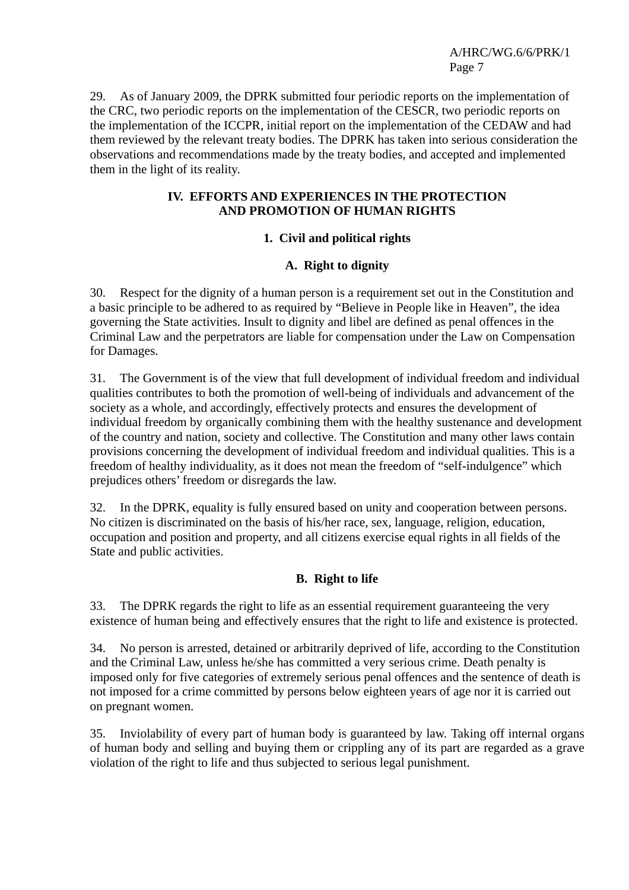29. As of January 2009, the DPRK submitted four periodic reports on the implementation of the CRC, two periodic reports on the implementation of the CESCR, two periodic reports on the implementation of the ICCPR, initial report on the implementation of the CEDAW and had them reviewed by the relevant treaty bodies. The DPRK has taken into serious consideration the observations and recommendations made by the treaty bodies, and accepted and implemented them in the light of its reality.

### **IV. EFFORTS AND EXPERIENCES IN THE PROTECTION AND PROMOTION OF HUMAN RIGHTS**

## **1. Civil and political rights**

### **A. Right to dignity**

30. Respect for the dignity of a human person is a requirement set out in the Constitution and a basic principle to be adhered to as required by "Believe in People like in Heaven", the idea governing the State activities. Insult to dignity and libel are defined as penal offences in the Criminal Law and the perpetrators are liable for compensation under the Law on Compensation for Damages.

31. The Government is of the view that full development of individual freedom and individual qualities contributes to both the promotion of well-being of individuals and advancement of the society as a whole, and accordingly, effectively protects and ensures the development of individual freedom by organically combining them with the healthy sustenance and development of the country and nation, society and collective. The Constitution and many other laws contain provisions concerning the development of individual freedom and individual qualities. This is a freedom of healthy individuality, as it does not mean the freedom of "self-indulgence" which prejudices others' freedom or disregards the law.

32. In the DPRK, equality is fully ensured based on unity and cooperation between persons. No citizen is discriminated on the basis of his/her race, sex, language, religion, education, occupation and position and property, and all citizens exercise equal rights in all fields of the State and public activities.

### **B. Right to life**

33. The DPRK regards the right to life as an essential requirement guaranteeing the very existence of human being and effectively ensures that the right to life and existence is protected.

34. No person is arrested, detained or arbitrarily deprived of life, according to the Constitution and the Criminal Law, unless he/she has committed a very serious crime. Death penalty is imposed only for five categories of extremely serious penal offences and the sentence of death is not imposed for a crime committed by persons below eighteen years of age nor it is carried out on pregnant women.

35. Inviolability of every part of human body is guaranteed by law. Taking off internal organs of human body and selling and buying them or crippling any of its part are regarded as a grave violation of the right to life and thus subjected to serious legal punishment.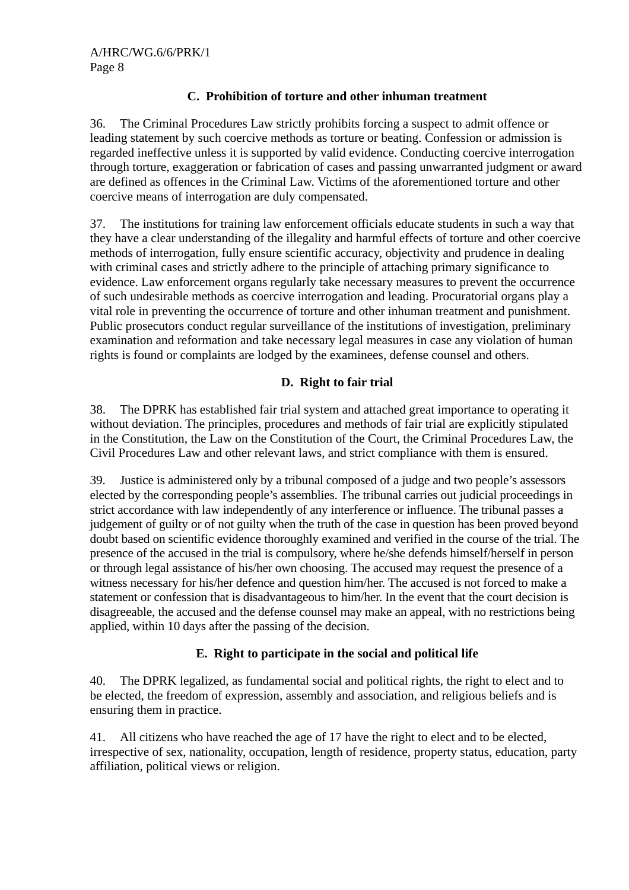## **C. Prohibition of torture and other inhuman treatment**

36. The Criminal Procedures Law strictly prohibits forcing a suspect to admit offence or leading statement by such coercive methods as torture or beating. Confession or admission is regarded ineffective unless it is supported by valid evidence. Conducting coercive interrogation through torture, exaggeration or fabrication of cases and passing unwarranted judgment or award are defined as offences in the Criminal Law. Victims of the aforementioned torture and other coercive means of interrogation are duly compensated.

37. The institutions for training law enforcement officials educate students in such a way that they have a clear understanding of the illegality and harmful effects of torture and other coercive methods of interrogation, fully ensure scientific accuracy, objectivity and prudence in dealing with criminal cases and strictly adhere to the principle of attaching primary significance to evidence. Law enforcement organs regularly take necessary measures to prevent the occurrence of such undesirable methods as coercive interrogation and leading. Procuratorial organs play a vital role in preventing the occurrence of torture and other inhuman treatment and punishment. Public prosecutors conduct regular surveillance of the institutions of investigation, preliminary examination and reformation and take necessary legal measures in case any violation of human rights is found or complaints are lodged by the examinees, defense counsel and others.

## **D. Right to fair trial**

38. The DPRK has established fair trial system and attached great importance to operating it without deviation. The principles, procedures and methods of fair trial are explicitly stipulated in the Constitution, the Law on the Constitution of the Court, the Criminal Procedures Law, the Civil Procedures Law and other relevant laws, and strict compliance with them is ensured.

39. Justice is administered only by a tribunal composed of a judge and two people's assessors elected by the corresponding people's assemblies. The tribunal carries out judicial proceedings in strict accordance with law independently of any interference or influence. The tribunal passes a judgement of guilty or of not guilty when the truth of the case in question has been proved beyond doubt based on scientific evidence thoroughly examined and verified in the course of the trial. The presence of the accused in the trial is compulsory, where he/she defends himself/herself in person or through legal assistance of his/her own choosing. The accused may request the presence of a witness necessary for his/her defence and question him/her. The accused is not forced to make a statement or confession that is disadvantageous to him/her. In the event that the court decision is disagreeable, the accused and the defense counsel may make an appeal, with no restrictions being applied, within 10 days after the passing of the decision.

## **E. Right to participate in the social and political life**

40. The DPRK legalized, as fundamental social and political rights, the right to elect and to be elected, the freedom of expression, assembly and association, and religious beliefs and is ensuring them in practice.

41. All citizens who have reached the age of 17 have the right to elect and to be elected, irrespective of sex, nationality, occupation, length of residence, property status, education, party affiliation, political views or religion.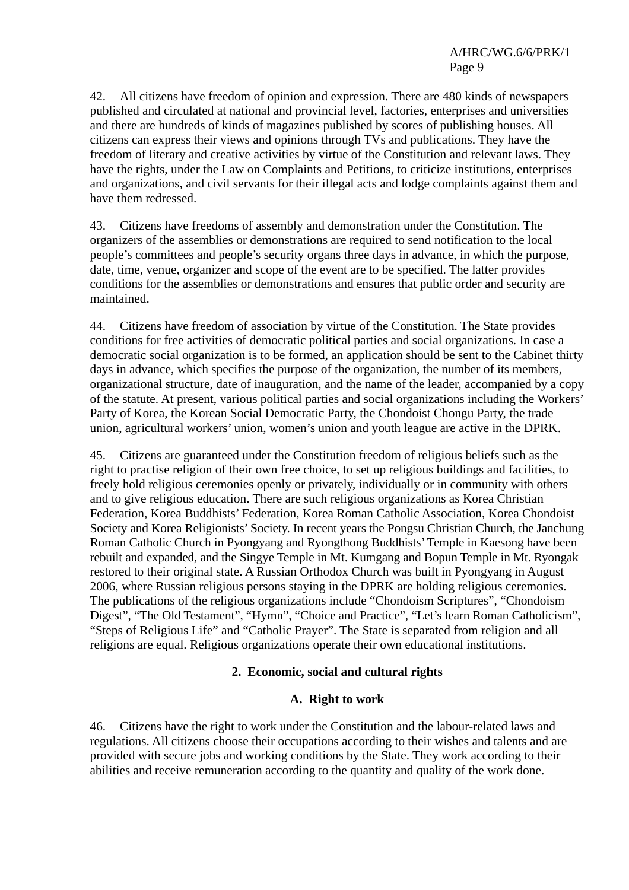42. All citizens have freedom of opinion and expression. There are 480 kinds of newspapers published and circulated at national and provincial level, factories, enterprises and universities and there are hundreds of kinds of magazines published by scores of publishing houses. All citizens can express their views and opinions through TVs and publications. They have the freedom of literary and creative activities by virtue of the Constitution and relevant laws. They have the rights, under the Law on Complaints and Petitions, to criticize institutions, enterprises and organizations, and civil servants for their illegal acts and lodge complaints against them and have them redressed.

43. Citizens have freedoms of assembly and demonstration under the Constitution. The organizers of the assemblies or demonstrations are required to send notification to the local people's committees and people's security organs three days in advance, in which the purpose, date, time, venue, organizer and scope of the event are to be specified. The latter provides conditions for the assemblies or demonstrations and ensures that public order and security are maintained.

44. Citizens have freedom of association by virtue of the Constitution. The State provides conditions for free activities of democratic political parties and social organizations. In case a democratic social organization is to be formed, an application should be sent to the Cabinet thirty days in advance, which specifies the purpose of the organization, the number of its members, organizational structure, date of inauguration, and the name of the leader, accompanied by a copy of the statute. At present, various political parties and social organizations including the Workers' Party of Korea, the Korean Social Democratic Party, the Chondoist Chongu Party, the trade union, agricultural workers' union, women's union and youth league are active in the DPRK.

45. Citizens are guaranteed under the Constitution freedom of religious beliefs such as the right to practise religion of their own free choice, to set up religious buildings and facilities, to freely hold religious ceremonies openly or privately, individually or in community with others and to give religious education. There are such religious organizations as Korea Christian Federation, Korea Buddhists' Federation, Korea Roman Catholic Association, Korea Chondoist Society and Korea Religionists' Society. In recent years the Pongsu Christian Church, the Janchung Roman Catholic Church in Pyongyang and Ryongthong Buddhists' Temple in Kaesong have been rebuilt and expanded, and the Singye Temple in Mt. Kumgang and Bopun Temple in Mt. Ryongak restored to their original state. A Russian Orthodox Church was built in Pyongyang in August 2006, where Russian religious persons staying in the DPRK are holding religious ceremonies. The publications of the religious organizations include "Chondoism Scriptures", "Chondoism Digest", "The Old Testament", "Hymn", "Choice and Practice", "Let's learn Roman Catholicism", "Steps of Religious Life" and "Catholic Prayer". The State is separated from religion and all religions are equal. Religious organizations operate their own educational institutions.

#### **2. Economic, social and cultural rights**

#### **A. Right to work**

46. Citizens have the right to work under the Constitution and the labour-related laws and regulations. All citizens choose their occupations according to their wishes and talents and are provided with secure jobs and working conditions by the State. They work according to their abilities and receive remuneration according to the quantity and quality of the work done.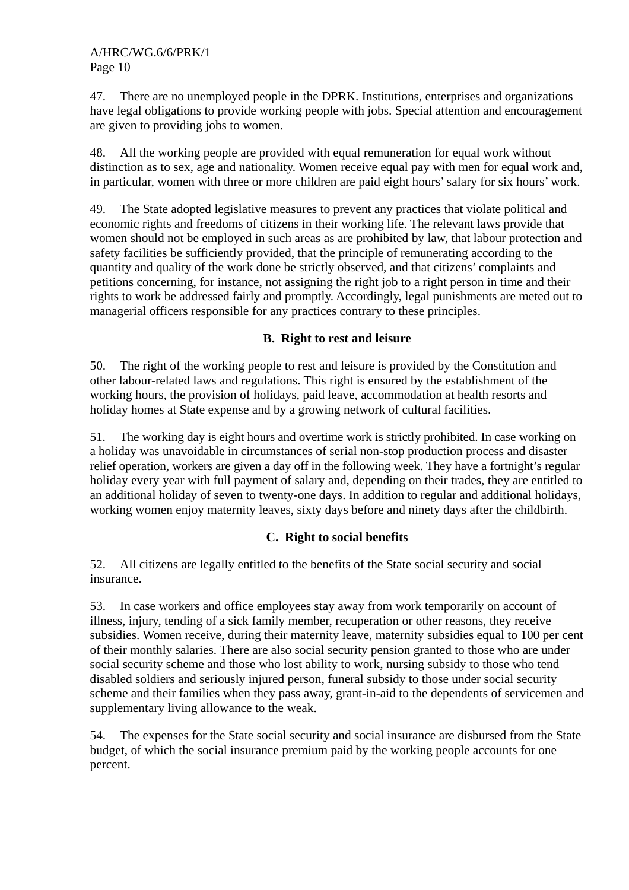47. There are no unemployed people in the DPRK. Institutions, enterprises and organizations have legal obligations to provide working people with jobs. Special attention and encouragement are given to providing jobs to women.

48. All the working people are provided with equal remuneration for equal work without distinction as to sex, age and nationality. Women receive equal pay with men for equal work and, in particular, women with three or more children are paid eight hours' salary for six hours' work.

49. The State adopted legislative measures to prevent any practices that violate political and economic rights and freedoms of citizens in their working life. The relevant laws provide that women should not be employed in such areas as are prohibited by law, that labour protection and safety facilities be sufficiently provided, that the principle of remunerating according to the quantity and quality of the work done be strictly observed, and that citizens' complaints and petitions concerning, for instance, not assigning the right job to a right person in time and their rights to work be addressed fairly and promptly. Accordingly, legal punishments are meted out to managerial officers responsible for any practices contrary to these principles.

### **B. Right to rest and leisure**

50. The right of the working people to rest and leisure is provided by the Constitution and other labour-related laws and regulations. This right is ensured by the establishment of the working hours, the provision of holidays, paid leave, accommodation at health resorts and holiday homes at State expense and by a growing network of cultural facilities.

51. The working day is eight hours and overtime work is strictly prohibited. In case working on a holiday was unavoidable in circumstances of serial non-stop production process and disaster relief operation, workers are given a day off in the following week. They have a fortnight's regular holiday every year with full payment of salary and, depending on their trades, they are entitled to an additional holiday of seven to twenty-one days. In addition to regular and additional holidays, working women enjoy maternity leaves, sixty days before and ninety days after the childbirth.

### **C. Right to social benefits**

52. All citizens are legally entitled to the benefits of the State social security and social insurance.

53. In case workers and office employees stay away from work temporarily on account of illness, injury, tending of a sick family member, recuperation or other reasons, they receive subsidies. Women receive, during their maternity leave, maternity subsidies equal to 100 per cent of their monthly salaries. There are also social security pension granted to those who are under social security scheme and those who lost ability to work, nursing subsidy to those who tend disabled soldiers and seriously injured person, funeral subsidy to those under social security scheme and their families when they pass away, grant-in-aid to the dependents of servicemen and supplementary living allowance to the weak.

54. The expenses for the State social security and social insurance are disbursed from the State budget, of which the social insurance premium paid by the working people accounts for one percent.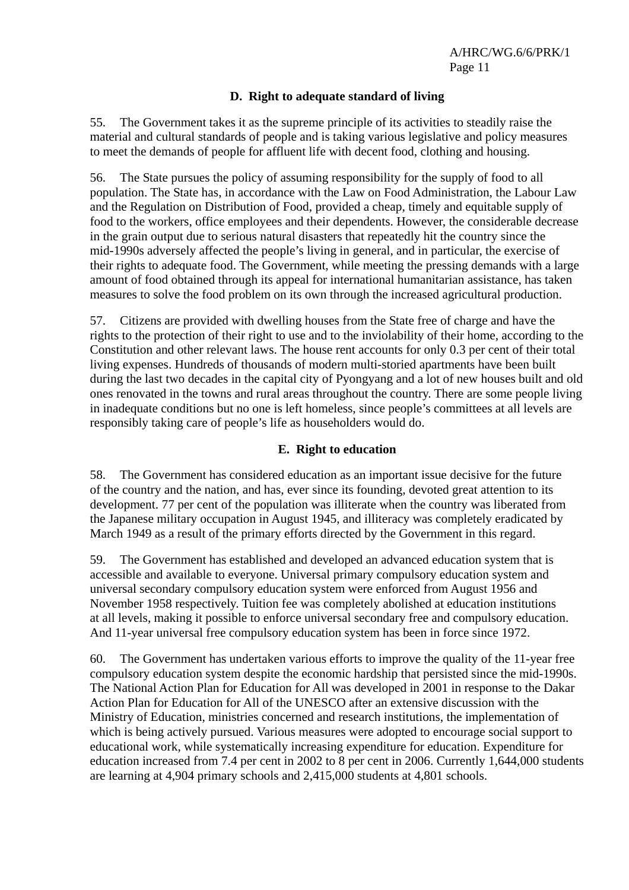## **D. Right to adequate standard of living**

55. The Government takes it as the supreme principle of its activities to steadily raise the material and cultural standards of people and is taking various legislative and policy measures to meet the demands of people for affluent life with decent food, clothing and housing.

56. The State pursues the policy of assuming responsibility for the supply of food to all population. The State has, in accordance with the Law on Food Administration, the Labour Law and the Regulation on Distribution of Food, provided a cheap, timely and equitable supply of food to the workers, office employees and their dependents. However, the considerable decrease in the grain output due to serious natural disasters that repeatedly hit the country since the mid-1990s adversely affected the people's living in general, and in particular, the exercise of their rights to adequate food. The Government, while meeting the pressing demands with a large amount of food obtained through its appeal for international humanitarian assistance, has taken measures to solve the food problem on its own through the increased agricultural production.

57. Citizens are provided with dwelling houses from the State free of charge and have the rights to the protection of their right to use and to the inviolability of their home, according to the Constitution and other relevant laws. The house rent accounts for only 0.3 per cent of their total living expenses. Hundreds of thousands of modern multi-storied apartments have been built during the last two decades in the capital city of Pyongyang and a lot of new houses built and old ones renovated in the towns and rural areas throughout the country. There are some people living in inadequate conditions but no one is left homeless, since people's committees at all levels are responsibly taking care of people's life as householders would do.

## **E. Right to education**

58. The Government has considered education as an important issue decisive for the future of the country and the nation, and has, ever since its founding, devoted great attention to its development. 77 per cent of the population was illiterate when the country was liberated from the Japanese military occupation in August 1945, and illiteracy was completely eradicated by March 1949 as a result of the primary efforts directed by the Government in this regard.

59. The Government has established and developed an advanced education system that is accessible and available to everyone. Universal primary compulsory education system and universal secondary compulsory education system were enforced from August 1956 and November 1958 respectively. Tuition fee was completely abolished at education institutions at all levels, making it possible to enforce universal secondary free and compulsory education. And 11-year universal free compulsory education system has been in force since 1972.

60. The Government has undertaken various efforts to improve the quality of the 11-year free compulsory education system despite the economic hardship that persisted since the mid-1990s. The National Action Plan for Education for All was developed in 2001 in response to the Dakar Action Plan for Education for All of the UNESCO after an extensive discussion with the Ministry of Education, ministries concerned and research institutions, the implementation of which is being actively pursued. Various measures were adopted to encourage social support to educational work, while systematically increasing expenditure for education. Expenditure for education increased from 7.4 per cent in 2002 to 8 per cent in 2006. Currently 1,644,000 students are learning at 4,904 primary schools and 2,415,000 students at 4,801 schools.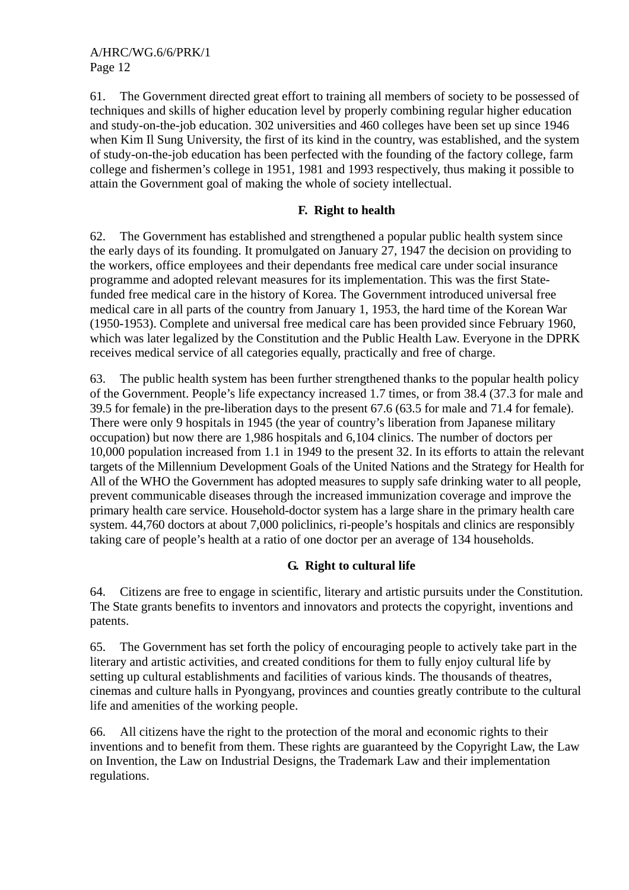61. The Government directed great effort to training all members of society to be possessed of techniques and skills of higher education level by properly combining regular higher education and study-on-the-job education. 302 universities and 460 colleges have been set up since 1946 when Kim Il Sung University, the first of its kind in the country, was established, and the system of study-on-the-job education has been perfected with the founding of the factory college, farm college and fishermen's college in 1951, 1981 and 1993 respectively, thus making it possible to attain the Government goal of making the whole of society intellectual.

## **F. Right to health**

62. The Government has established and strengthened a popular public health system since the early days of its founding. It promulgated on January 27, 1947 the decision on providing to the workers, office employees and their dependants free medical care under social insurance programme and adopted relevant measures for its implementation. This was the first Statefunded free medical care in the history of Korea. The Government introduced universal free medical care in all parts of the country from January 1, 1953, the hard time of the Korean War (1950-1953). Complete and universal free medical care has been provided since February 1960, which was later legalized by the Constitution and the Public Health Law. Everyone in the DPRK receives medical service of all categories equally, practically and free of charge.

63. The public health system has been further strengthened thanks to the popular health policy of the Government. People's life expectancy increased 1.7 times, or from 38.4 (37.3 for male and 39.5 for female) in the pre-liberation days to the present 67.6 (63.5 for male and 71.4 for female). There were only 9 hospitals in 1945 (the year of country's liberation from Japanese military occupation) but now there are 1,986 hospitals and 6,104 clinics. The number of doctors per 10,000 population increased from 1.1 in 1949 to the present 32. In its efforts to attain the relevant targets of the Millennium Development Goals of the United Nations and the Strategy for Health for All of the WHO the Government has adopted measures to supply safe drinking water to all people, prevent communicable diseases through the increased immunization coverage and improve the primary health care service. Household-doctor system has a large share in the primary health care system. 44,760 doctors at about 7,000 policlinics, ri-people's hospitals and clinics are responsibly taking care of people's health at a ratio of one doctor per an average of 134 households.

## **G. Right to cultural life**

64. Citizens are free to engage in scientific, literary and artistic pursuits under the Constitution. The State grants benefits to inventors and innovators and protects the copyright, inventions and patents.

65. The Government has set forth the policy of encouraging people to actively take part in the literary and artistic activities, and created conditions for them to fully enjoy cultural life by setting up cultural establishments and facilities of various kinds. The thousands of theatres, cinemas and culture halls in Pyongyang, provinces and counties greatly contribute to the cultural life and amenities of the working people.

66. All citizens have the right to the protection of the moral and economic rights to their inventions and to benefit from them. These rights are guaranteed by the Copyright Law, the Law on Invention, the Law on Industrial Designs, the Trademark Law and their implementation regulations.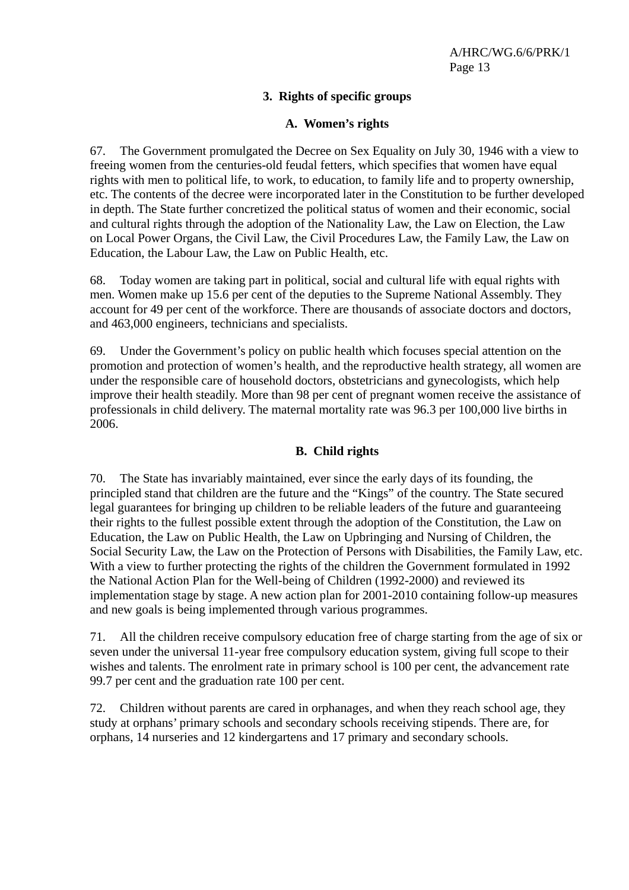## **3. Rights of specific groups**

#### **A. Women's rights**

67. The Government promulgated the Decree on Sex Equality on July 30, 1946 with a view to freeing women from the centuries-old feudal fetters, which specifies that women have equal rights with men to political life, to work, to education, to family life and to property ownership, etc. The contents of the decree were incorporated later in the Constitution to be further developed in depth. The State further concretized the political status of women and their economic, social and cultural rights through the adoption of the Nationality Law, the Law on Election, the Law on Local Power Organs, the Civil Law, the Civil Procedures Law, the Family Law, the Law on Education, the Labour Law, the Law on Public Health, etc.

68. Today women are taking part in political, social and cultural life with equal rights with men. Women make up 15.6 per cent of the deputies to the Supreme National Assembly. They account for 49 per cent of the workforce. There are thousands of associate doctors and doctors, and 463,000 engineers, technicians and specialists.

69. Under the Government's policy on public health which focuses special attention on the promotion and protection of women's health, and the reproductive health strategy, all women are under the responsible care of household doctors, obstetricians and gynecologists, which help improve their health steadily. More than 98 per cent of pregnant women receive the assistance of professionals in child delivery. The maternal mortality rate was 96.3 per 100,000 live births in 2006.

#### **B. Child rights**

70. The State has invariably maintained, ever since the early days of its founding, the principled stand that children are the future and the "Kings" of the country. The State secured legal guarantees for bringing up children to be reliable leaders of the future and guaranteeing their rights to the fullest possible extent through the adoption of the Constitution, the Law on Education, the Law on Public Health, the Law on Upbringing and Nursing of Children, the Social Security Law, the Law on the Protection of Persons with Disabilities, the Family Law, etc. With a view to further protecting the rights of the children the Government formulated in 1992 the National Action Plan for the Well-being of Children (1992-2000) and reviewed its implementation stage by stage. A new action plan for 2001-2010 containing follow-up measures and new goals is being implemented through various programmes.

71. All the children receive compulsory education free of charge starting from the age of six or seven under the universal 11-year free compulsory education system, giving full scope to their wishes and talents. The enrolment rate in primary school is 100 per cent, the advancement rate 99.7 per cent and the graduation rate 100 per cent.

72. Children without parents are cared in orphanages, and when they reach school age, they study at orphans' primary schools and secondary schools receiving stipends. There are, for orphans, 14 nurseries and 12 kindergartens and 17 primary and secondary schools.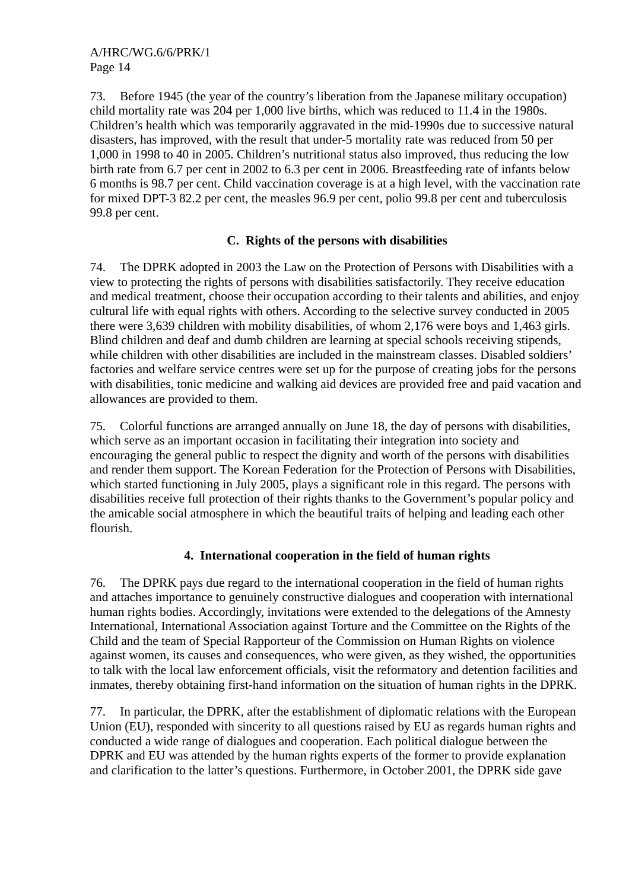73. Before 1945 (the year of the country's liberation from the Japanese military occupation) child mortality rate was 204 per 1,000 live births, which was reduced to 11.4 in the 1980s. Children's health which was temporarily aggravated in the mid-1990s due to successive natural disasters, has improved, with the result that under-5 mortality rate was reduced from 50 per 1,000 in 1998 to 40 in 2005. Children's nutritional status also improved, thus reducing the low birth rate from 6.7 per cent in 2002 to 6.3 per cent in 2006. Breastfeeding rate of infants below 6 months is 98.7 per cent. Child vaccination coverage is at a high level, with the vaccination rate for mixed DPT-3 82.2 per cent, the measles 96.9 per cent, polio 99.8 per cent and tuberculosis 99.8 per cent.

## **C. Rights of the persons with disabilities**

74. The DPRK adopted in 2003 the Law on the Protection of Persons with Disabilities with a view to protecting the rights of persons with disabilities satisfactorily. They receive education and medical treatment, choose their occupation according to their talents and abilities, and enjoy cultural life with equal rights with others. According to the selective survey conducted in 2005 there were 3,639 children with mobility disabilities, of whom 2,176 were boys and 1,463 girls. Blind children and deaf and dumb children are learning at special schools receiving stipends, while children with other disabilities are included in the mainstream classes. Disabled soldiers' factories and welfare service centres were set up for the purpose of creating jobs for the persons with disabilities, tonic medicine and walking aid devices are provided free and paid vacation and allowances are provided to them.

75. Colorful functions are arranged annually on June 18, the day of persons with disabilities, which serve as an important occasion in facilitating their integration into society and encouraging the general public to respect the dignity and worth of the persons with disabilities and render them support. The Korean Federation for the Protection of Persons with Disabilities, which started functioning in July 2005, plays a significant role in this regard. The persons with disabilities receive full protection of their rights thanks to the Government's popular policy and the amicable social atmosphere in which the beautiful traits of helping and leading each other flourish.

## **4. International cooperation in the field of human rights**

76. The DPRK pays due regard to the international cooperation in the field of human rights and attaches importance to genuinely constructive dialogues and cooperation with international human rights bodies. Accordingly, invitations were extended to the delegations of the Amnesty International, International Association against Torture and the Committee on the Rights of the Child and the team of Special Rapporteur of the Commission on Human Rights on violence against women, its causes and consequences, who were given, as they wished, the opportunities to talk with the local law enforcement officials, visit the reformatory and detention facilities and inmates, thereby obtaining first-hand information on the situation of human rights in the DPRK.

77. In particular, the DPRK, after the establishment of diplomatic relations with the European Union (EU), responded with sincerity to all questions raised by EU as regards human rights and conducted a wide range of dialogues and cooperation. Each political dialogue between the DPRK and EU was attended by the human rights experts of the former to provide explanation and clarification to the latter's questions. Furthermore, in October 2001, the DPRK side gave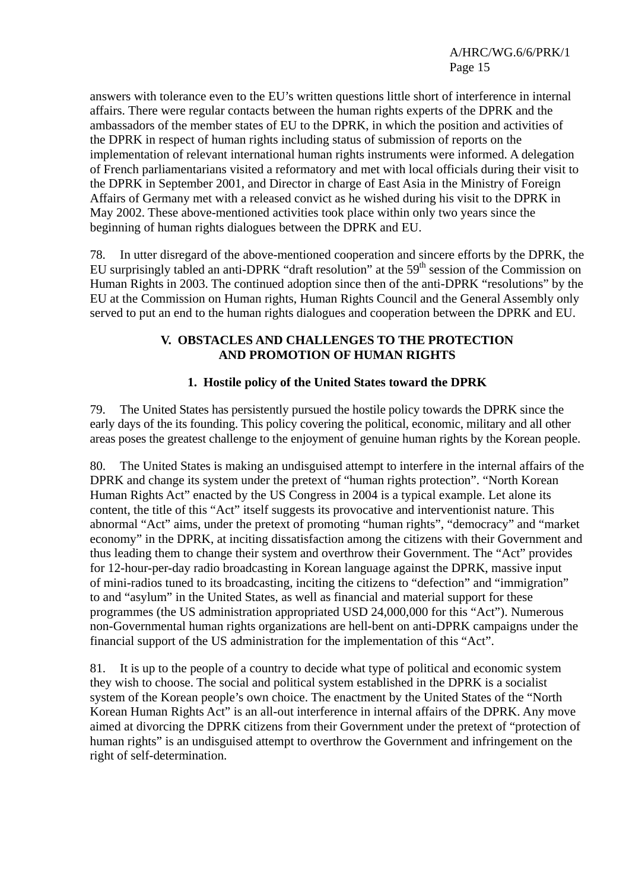answers with tolerance even to the EU's written questions little short of interference in internal affairs. There were regular contacts between the human rights experts of the DPRK and the ambassadors of the member states of EU to the DPRK, in which the position and activities of the DPRK in respect of human rights including status of submission of reports on the implementation of relevant international human rights instruments were informed. A delegation of French parliamentarians visited a reformatory and met with local officials during their visit to the DPRK in September 2001, and Director in charge of East Asia in the Ministry of Foreign Affairs of Germany met with a released convict as he wished during his visit to the DPRK in May 2002. These above-mentioned activities took place within only two years since the beginning of human rights dialogues between the DPRK and EU.

78. In utter disregard of the above-mentioned cooperation and sincere efforts by the DPRK, the EU surprisingly tabled an anti-DPRK "draft resolution" at the 59<sup>th</sup> session of the Commission on Human Rights in 2003. The continued adoption since then of the anti-DPRK "resolutions" by the EU at the Commission on Human rights, Human Rights Council and the General Assembly only served to put an end to the human rights dialogues and cooperation between the DPRK and EU.

#### **V. OBSTACLES AND CHALLENGES TO THE PROTECTION AND PROMOTION OF HUMAN RIGHTS**

## **1. Hostile policy of the United States toward the DPRK**

79. The United States has persistently pursued the hostile policy towards the DPRK since the early days of the its founding. This policy covering the political, economic, military and all other areas poses the greatest challenge to the enjoyment of genuine human rights by the Korean people.

80. The United States is making an undisguised attempt to interfere in the internal affairs of the DPRK and change its system under the pretext of "human rights protection". "North Korean Human Rights Act" enacted by the US Congress in 2004 is a typical example. Let alone its content, the title of this "Act" itself suggests its provocative and interventionist nature. This abnormal "Act" aims, under the pretext of promoting "human rights", "democracy" and "market economy" in the DPRK, at inciting dissatisfaction among the citizens with their Government and thus leading them to change their system and overthrow their Government. The "Act" provides for 12-hour-per-day radio broadcasting in Korean language against the DPRK, massive input of mini-radios tuned to its broadcasting, inciting the citizens to "defection" and "immigration" to and "asylum" in the United States, as well as financial and material support for these programmes (the US administration appropriated USD 24,000,000 for this "Act"). Numerous non-Governmental human rights organizations are hell-bent on anti-DPRK campaigns under the financial support of the US administration for the implementation of this "Act".

81. It is up to the people of a country to decide what type of political and economic system they wish to choose. The social and political system established in the DPRK is a socialist system of the Korean people's own choice. The enactment by the United States of the "North Korean Human Rights Act" is an all-out interference in internal affairs of the DPRK. Any move aimed at divorcing the DPRK citizens from their Government under the pretext of "protection of human rights" is an undisguised attempt to overthrow the Government and infringement on the right of self-determination.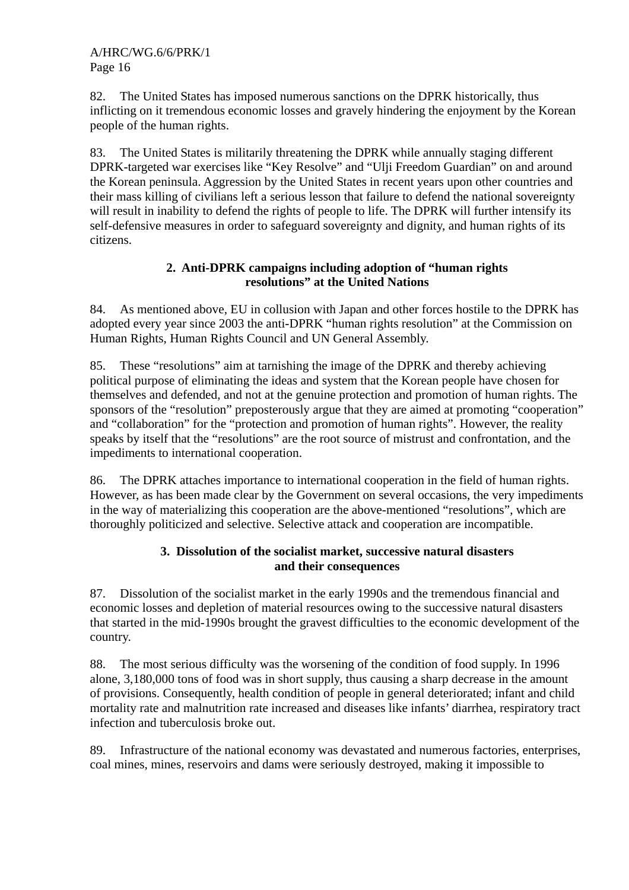82. The United States has imposed numerous sanctions on the DPRK historically, thus inflicting on it tremendous economic losses and gravely hindering the enjoyment by the Korean people of the human rights.

83. The United States is militarily threatening the DPRK while annually staging different DPRK-targeted war exercises like "Key Resolve" and "Ulji Freedom Guardian" on and around the Korean peninsula. Aggression by the United States in recent years upon other countries and their mass killing of civilians left a serious lesson that failure to defend the national sovereignty will result in inability to defend the rights of people to life. The DPRK will further intensify its self-defensive measures in order to safeguard sovereignty and dignity, and human rights of its citizens.

## **2. Anti-DPRK campaigns including adoption of "human rights resolutions" at the United Nations**

84. As mentioned above, EU in collusion with Japan and other forces hostile to the DPRK has adopted every year since 2003 the anti-DPRK "human rights resolution" at the Commission on Human Rights, Human Rights Council and UN General Assembly.

85. These "resolutions" aim at tarnishing the image of the DPRK and thereby achieving political purpose of eliminating the ideas and system that the Korean people have chosen for themselves and defended, and not at the genuine protection and promotion of human rights. The sponsors of the "resolution" preposterously argue that they are aimed at promoting "cooperation" and "collaboration" for the "protection and promotion of human rights". However, the reality speaks by itself that the "resolutions" are the root source of mistrust and confrontation, and the impediments to international cooperation.

86. The DPRK attaches importance to international cooperation in the field of human rights. However, as has been made clear by the Government on several occasions, the very impediments in the way of materializing this cooperation are the above-mentioned "resolutions", which are thoroughly politicized and selective. Selective attack and cooperation are incompatible.

### **3. Dissolution of the socialist market, successive natural disasters and their consequences**

87. Dissolution of the socialist market in the early 1990s and the tremendous financial and economic losses and depletion of material resources owing to the successive natural disasters that started in the mid-1990s brought the gravest difficulties to the economic development of the country.

88. The most serious difficulty was the worsening of the condition of food supply. In 1996 alone, 3,180,000 tons of food was in short supply, thus causing a sharp decrease in the amount of provisions. Consequently, health condition of people in general deteriorated; infant and child mortality rate and malnutrition rate increased and diseases like infants' diarrhea, respiratory tract infection and tuberculosis broke out.

89. Infrastructure of the national economy was devastated and numerous factories, enterprises, coal mines, mines, reservoirs and dams were seriously destroyed, making it impossible to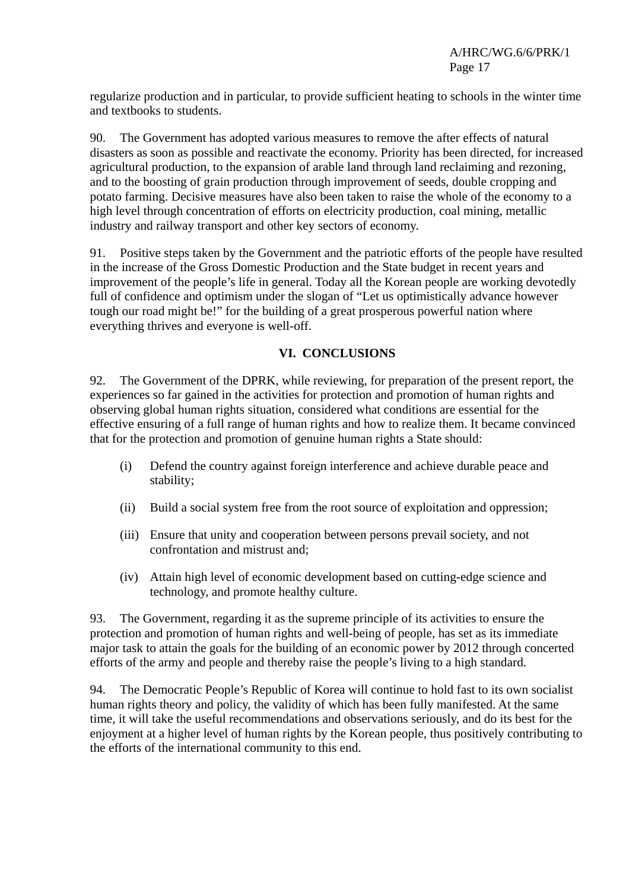regularize production and in particular, to provide sufficient heating to schools in the winter time and textbooks to students.

90. The Government has adopted various measures to remove the after effects of natural disasters as soon as possible and reactivate the economy. Priority has been directed, for increased agricultural production, to the expansion of arable land through land reclaiming and rezoning, and to the boosting of grain production through improvement of seeds, double cropping and potato farming. Decisive measures have also been taken to raise the whole of the economy to a high level through concentration of efforts on electricity production, coal mining, metallic industry and railway transport and other key sectors of economy.

91. Positive steps taken by the Government and the patriotic efforts of the people have resulted in the increase of the Gross Domestic Production and the State budget in recent years and improvement of the people's life in general. Today all the Korean people are working devotedly full of confidence and optimism under the slogan of "Let us optimistically advance however tough our road might be!" for the building of a great prosperous powerful nation where everything thrives and everyone is well-off.

## **VI. CONCLUSIONS**

92. The Government of the DPRK, while reviewing, for preparation of the present report, the experiences so far gained in the activities for protection and promotion of human rights and observing global human rights situation, considered what conditions are essential for the effective ensuring of a full range of human rights and how to realize them. It became convinced that for the protection and promotion of genuine human rights a State should:

- (i) Defend the country against foreign interference and achieve durable peace and stability;
- (ii) Build a social system free from the root source of exploitation and oppression;
- (iii) Ensure that unity and cooperation between persons prevail society, and not confrontation and mistrust and;
- (iv) Attain high level of economic development based on cutting-edge science and technology, and promote healthy culture.

93. The Government, regarding it as the supreme principle of its activities to ensure the protection and promotion of human rights and well-being of people, has set as its immediate major task to attain the goals for the building of an economic power by 2012 through concerted efforts of the army and people and thereby raise the people's living to a high standard.

94. The Democratic People's Republic of Korea will continue to hold fast to its own socialist human rights theory and policy, the validity of which has been fully manifested. At the same time, it will take the useful recommendations and observations seriously, and do its best for the enjoyment at a higher level of human rights by the Korean people, thus positively contributing to the efforts of the international community to this end.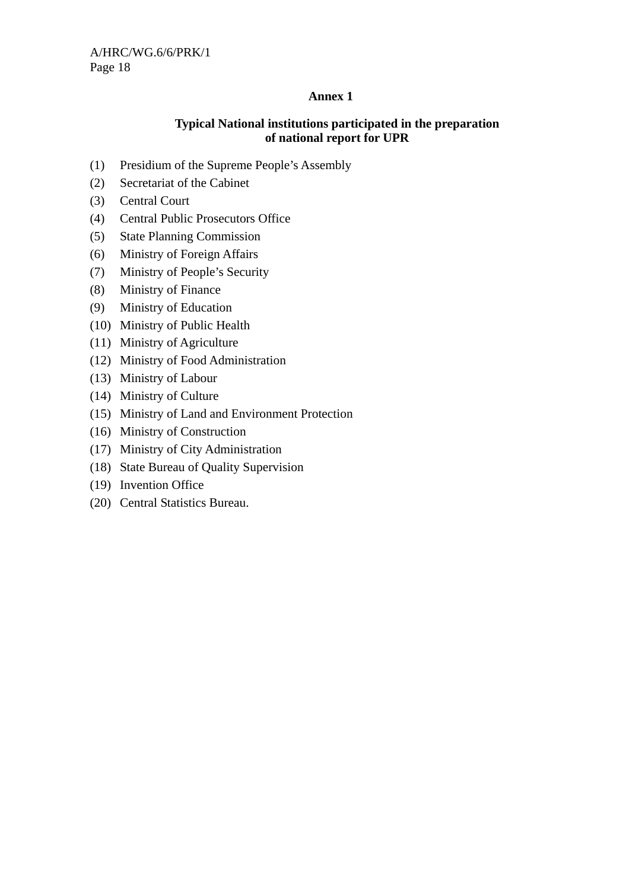## **Annex 1**

## **Typical National institutions participated in the preparation of national report for UPR**

- (1) Presidium of the Supreme People's Assembly
- (2) Secretariat of the Cabinet
- (3) Central Court
- (4) Central Public Prosecutors Office
- (5) State Planning Commission
- (6) Ministry of Foreign Affairs
- (7) Ministry of People's Security
- (8) Ministry of Finance
- (9) Ministry of Education
- (10) Ministry of Public Health
- (11) Ministry of Agriculture
- (12) Ministry of Food Administration
- (13) Ministry of Labour
- (14) Ministry of Culture
- (15) Ministry of Land and Environment Protection
- (16) Ministry of Construction
- (17) Ministry of City Administration
- (18) State Bureau of Quality Supervision
- (19) Invention Office
- (20) Central Statistics Bureau.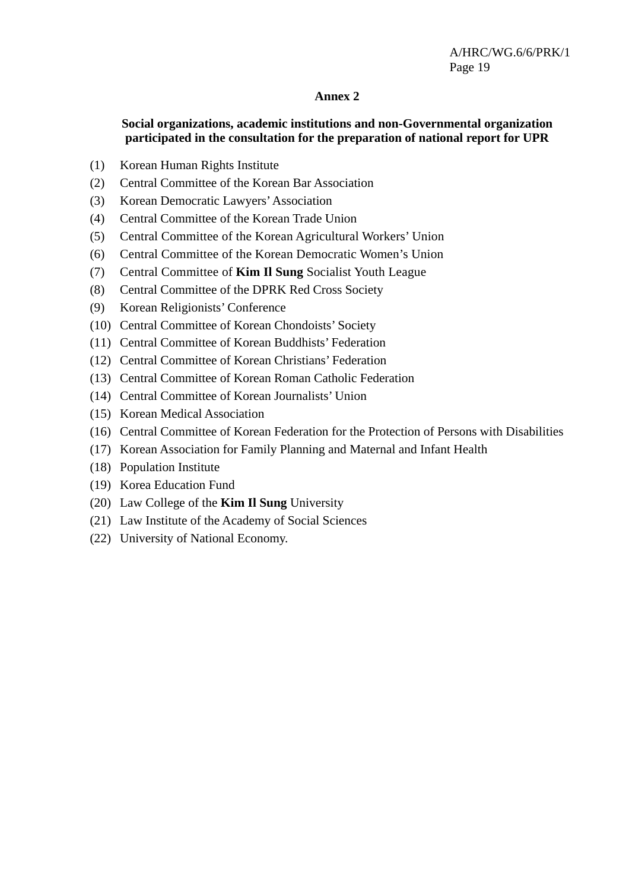#### **Annex 2**

### **Social organizations, academic institutions and non-Governmental organization participated in the consultation for the preparation of national report for UPR**

- (1) Korean Human Rights Institute
- (2) Central Committee of the Korean Bar Association
- (3) Korean Democratic Lawyers' Association
- (4) Central Committee of the Korean Trade Union
- (5) Central Committee of the Korean Agricultural Workers' Union
- (6) Central Committee of the Korean Democratic Women's Union
- (7) Central Committee of **Kim Il Sung** Socialist Youth League
- (8) Central Committee of the DPRK Red Cross Society
- (9) Korean Religionists' Conference
- (10) Central Committee of Korean Chondoists' Society
- (11) Central Committee of Korean Buddhists' Federation
- (12) Central Committee of Korean Christians' Federation
- (13) Central Committee of Korean Roman Catholic Federation
- (14) Central Committee of Korean Journalists' Union
- (15) Korean Medical Association
- (16) Central Committee of Korean Federation for the Protection of Persons with Disabilities
- (17) Korean Association for Family Planning and Maternal and Infant Health
- (18) Population Institute
- (19) Korea Education Fund
- (20) Law College of the **Kim Il Sung** University
- (21) Law Institute of the Academy of Social Sciences
- (22) University of National Economy.